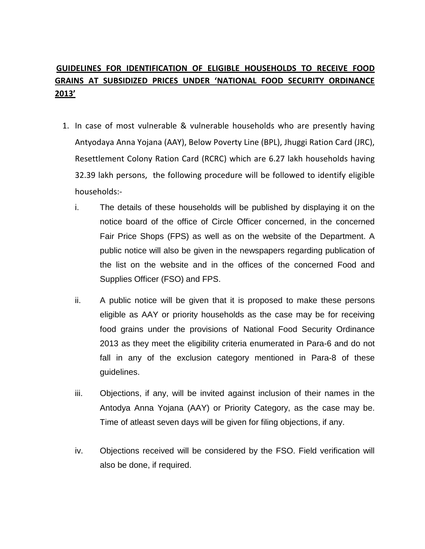## **GUIDELINES FOR IDENTIFICATION OF ELIGIBLE HOUSEHOLDS TO RECEIVE FOOD GRAINS AT SUBSIDIZED PRICES UNDER 'NATIONAL FOOD SECURITY ORDINANCE 2013'**

- 1. In case of most vulnerable & vulnerable households who are presently having Antyodaya Anna Yojana (AAY), Below Poverty Line (BPL), Jhuggi Ration Card (JRC), Resettlement Colony Ration Card (RCRC) which are 6.27 lakh households having 32.39 lakh persons, the following procedure will be followed to identify eligible households:
	- i. The details of these households will be published by displaying it on the notice board of the office of Circle Officer concerned, in the concerned Fair Price Shops (FPS) as well as on the website of the Department. A public notice will also be given in the newspapers regarding publication of the list on the website and in the offices of the concerned Food and Supplies Officer (FSO) and FPS.
	- ii. A public notice will be given that it is proposed to make these persons eligible as AAY or priority households as the case may be for receiving food grains under the provisions of National Food Security Ordinance 2013 as they meet the eligibility criteria enumerated in Para-6 and do not fall in any of the exclusion category mentioned in Para-8 of these guidelines.
	- iii. Objections, if any, will be invited against inclusion of their names in the Antodya Anna Yojana (AAY) or Priority Category, as the case may be. Time of atleast seven days will be given for filing objections, if any.
	- iv. Objections received will be considered by the FSO. Field verification will also be done, if required.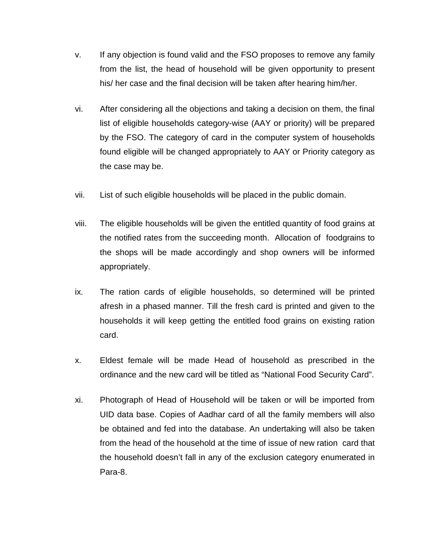- v. If any objection is found valid and the FSO proposes to remove any family from the list, the head of household will be given opportunity to present his/ her case and the final decision will be taken after hearing him/her.
- vi. After considering all the objections and taking a decision on them, the final list of eligible households category-wise (AAY or priority) will be prepared by the FSO. The category of card in the computer system of households found eligible will be changed appropriately to AAY or Priority category as the case may be.
- vii. List of such eligible households will be placed in the public domain.
- viii. The eligible households will be given the entitled quantity of food grains at the notified rates from the succeeding month. Allocation of foodgrains to the shops will be made accordingly and shop owners will be informed appropriately.
- ix. The ration cards of eligible households, so determined will be printed afresh in a phased manner. Till the fresh card is printed and given to the households it will keep getting the entitled food grains on existing ration card.
- x. Eldest female will be made Head of household as prescribed in the ordinance and the new card will be titled as "National Food Security Card".
- xi. Photograph of Head of Household will be taken or will be imported from UID data base. Copies of Aadhar card of all the family members will also be obtained and fed into the database. An undertaking will also be taken from the head of the household at the time of issue of new ration card that the household doesn't fall in any of the exclusion category enumerated in Para-8.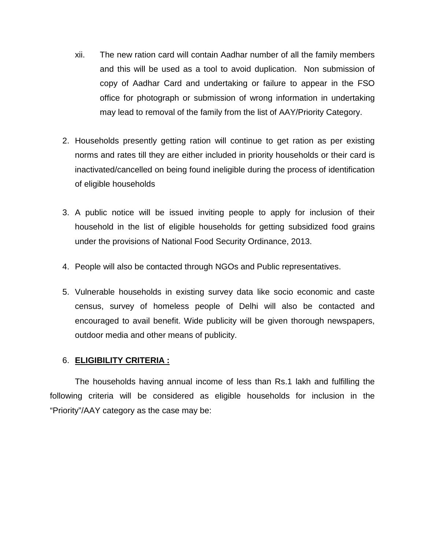- xii. The new ration card will contain Aadhar number of all the family members and this will be used as a tool to avoid duplication. Non submission of copy of Aadhar Card and undertaking or failure to appear in the FSO office for photograph or submission of wrong information in undertaking may lead to removal of the family from the list of AAY/Priority Category.
- 2. Households presently getting ration will continue to get ration as per existing norms and rates till they are either included in priority households or their card is inactivated/cancelled on being found ineligible during the process of identification of eligible households
- 3. A public notice will be issued inviting people to apply for inclusion of their household in the list of eligible households for getting subsidized food grains under the provisions of National Food Security Ordinance, 2013.
- 4. People will also be contacted through NGOs and Public representatives.
- 5. Vulnerable households in existing survey data like socio economic and caste census, survey of homeless people of Delhi will also be contacted and encouraged to avail benefit. Wide publicity will be given thorough newspapers, outdoor media and other means of publicity.

#### 6. **ELIGIBILITY CRITERIA :**

The households having annual income of less than Rs.1 lakh and fulfilling the following criteria will be considered as eligible households for inclusion in the "Priority"/AAY category as the case may be: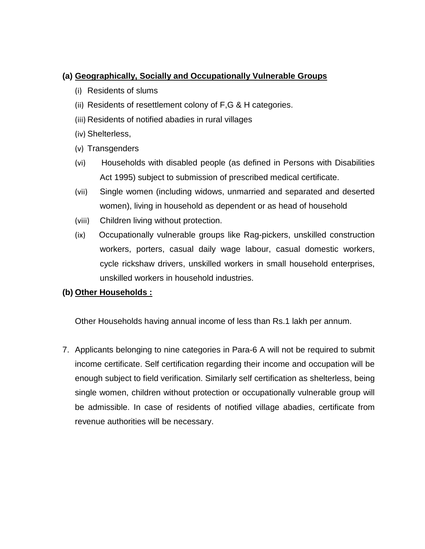### **(a) Geographically, Socially and Occupationally Vulnerable Groups**

- (i) Residents of slums
- (ii) Residents of resettlement colony of F,G & H categories.
- (iii) Residents of notified abadies in rural villages
- (iv) Shelterless,
- (v) Transgenders
- (vi) Households with disabled people (as defined in Persons with Disabilities Act 1995) subject to submission of prescribed medical certificate.
- (vii) Single women (including widows, unmarried and separated and deserted women), living in household as dependent or as head of household
- (viii) Children living without protection.
- (ix) Occupationally vulnerable groups like Rag-pickers, unskilled construction workers, porters, casual daily wage labour, casual domestic workers, cycle rickshaw drivers, unskilled workers in small household enterprises, unskilled workers in household industries.

#### **(b) Other Households :**

Other Households having annual income of less than Rs.1 lakh per annum.

7. Applicants belonging to nine categories in Para-6 A will not be required to submit income certificate. Self certification regarding their income and occupation will be enough subject to field verification. Similarly self certification as shelterless, being single women, children without protection or occupationally vulnerable group will be admissible. In case of residents of notified village abadies, certificate from revenue authorities will be necessary.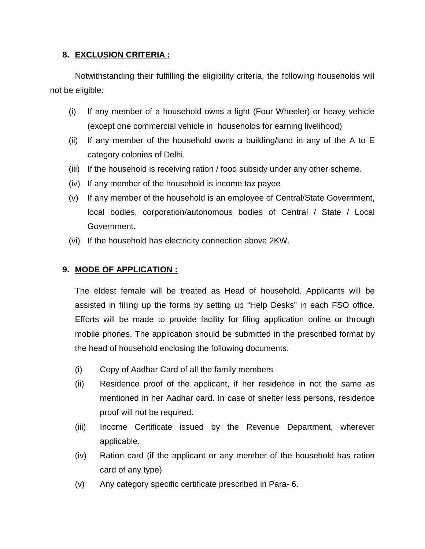### **8. EXCLUSION CRITERIA :**

Notwithstanding their fulfilling the eligibility criteria, the following households will not be eligible:

- (i) If any member of a household owns a light (Four Wheeler) or heavy vehicle (except one commercial vehicle in households for earning livelihood)
- (ii) If any member of the household owns a building/land in any of the A to E category colonies of Delhi.
- (iii) If the household is receiving ration / food subsidy under any other scheme.
- (iv) If any member of the household is income tax payee
- (v) If any member of the household is an employee of Central/State Government, local bodies, corporation/autonomous bodies of Central / State / Local Government.
- (vi) If the household has electricity connection above 2KW.

#### **9. MODE OF APPLICATION :**

The eldest female will be treated as Head of household. Applicants will be assisted in filling up the forms by setting up "Help Desks" in each FSO office. Efforts will be made to provide facility for filing application online or through mobile phones. The application should be submitted in the prescribed format by the head of household enclosing the following documents:

- (i) Copy of Aadhar Card of all the family members
- (ii) Residence proof of the applicant, if her residence in not the same as mentioned in her Aadhar card. In case of shelter less persons, residence proof will not be required.
- (iii) Income Certificate issued by the Revenue Department, wherever applicable.
- (iv) Ration card (if the applicant or any member of the household has ration card of any type)
- (v) Any category specific certificate prescribed in Para- 6.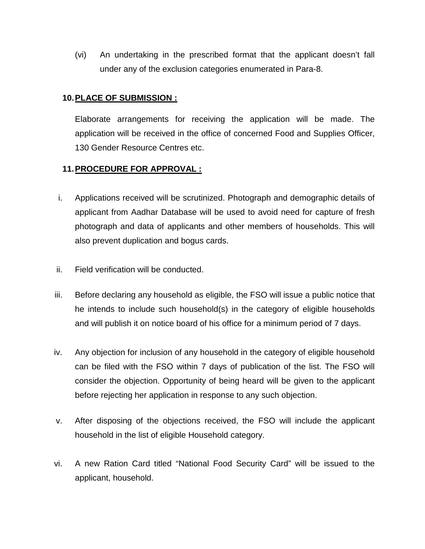(vi) An undertaking in the prescribed format that the applicant doesn't fall under any of the exclusion categories enumerated in Para-8.

### **10. PLACE OF SUBMISSION :**

Elaborate arrangements for receiving the application will be made. The application will be received in the office of concerned Food and Supplies Officer, 130 Gender Resource Centres etc.

#### **11.PROCEDURE FOR APPROVAL :**

- i. Applications received will be scrutinized. Photograph and demographic details of applicant from Aadhar Database will be used to avoid need for capture of fresh photograph and data of applicants and other members of households. This will also prevent duplication and bogus cards.
- ii. Field verification will be conducted.
- iii. Before declaring any household as eligible, the FSO will issue a public notice that he intends to include such household(s) in the category of eligible households and will publish it on notice board of his office for a minimum period of 7 days.
- iv. Any objection for inclusion of any household in the category of eligible household can be filed with the FSO within 7 days of publication of the list. The FSO will consider the objection. Opportunity of being heard will be given to the applicant before rejecting her application in response to any such objection.
- v. After disposing of the objections received, the FSO will include the applicant household in the list of eligible Household category.
- vi. A new Ration Card titled "National Food Security Card" will be issued to the applicant, household.